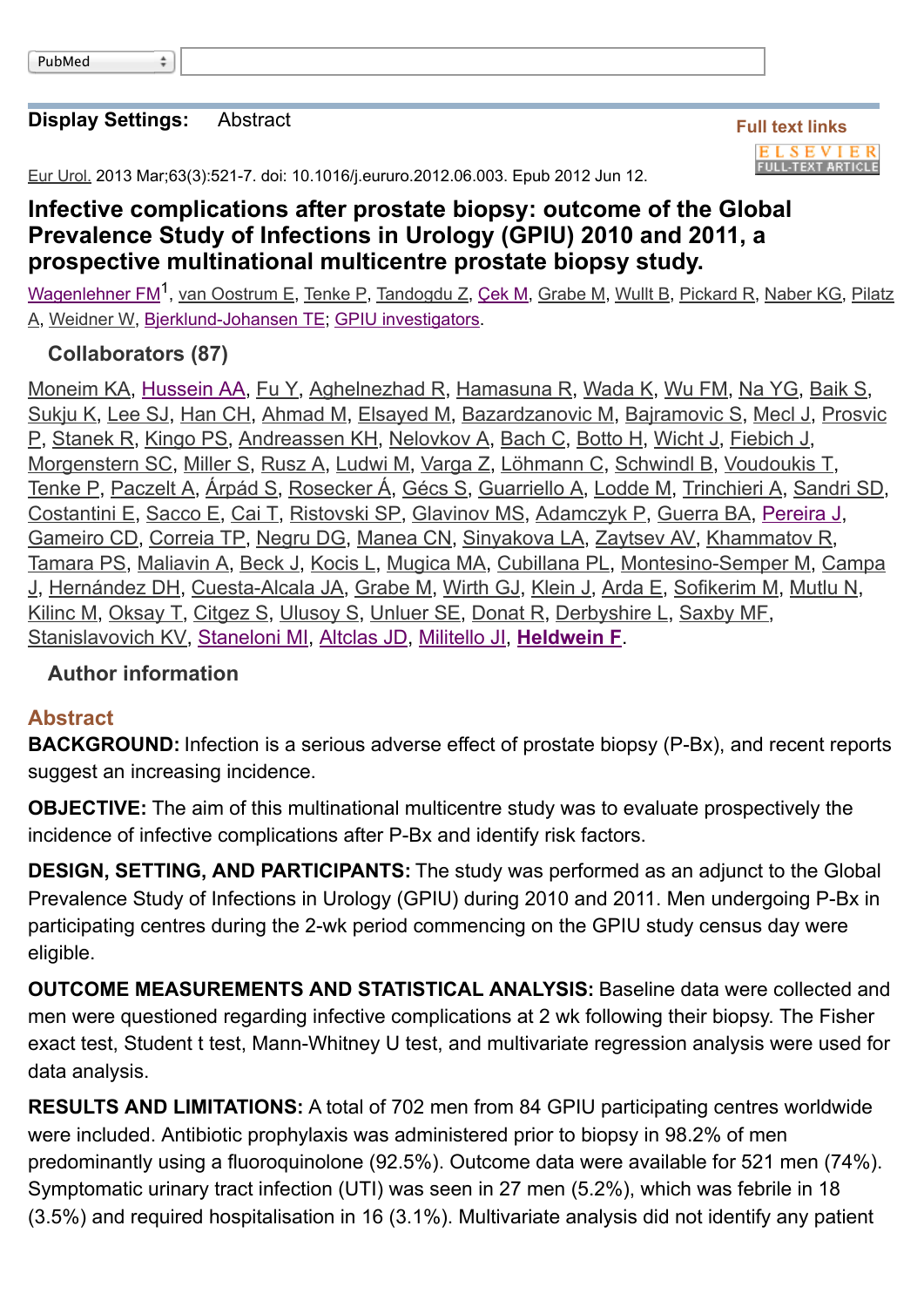#### **[Display Settings:](http://www.ncbi.nlm.nih.gov/pubmed/22704727#)** [Abstract](http://www.ncbi.nlm.nih.gov/pubmed/22704727#)

 $\div$ 

**Full text links ELSEVIER FULL-TEXT ARTICLE** 

[Eur Urol.](http://www.ncbi.nlm.nih.gov/pubmed/22704727#) 2013 Mar;63(3):521-7. doi: 10.1016/j.eururo.2012.06.003. Epub 2012 Jun 12.

# **Infective complications after prostate biopsy: outcome of the Global Prevalence Study of Infections in Urology (GPIU) 2010 and 2011, a prospective multinational multicentre prostate biopsy study.**

<u>[Wagenlehner FM](http://www.ncbi.nlm.nih.gov/pubmed?term=Wagenlehner%20FM%5BAuthor%5D&cauthor=true&cauthor_uid=22704727)</u><sup>1</sup>[,](http://www.ncbi.nlm.nih.gov/pubmed?term=Pilatz%20A%5BAuthor%5D&cauthor=true&cauthor_uid=22704727) <u>[van Oostrum E](http://www.ncbi.nlm.nih.gov/pubmed?term=van%20Oostrum%20E%5BAuthor%5D&cauthor=true&cauthor_uid=22704727)[, T](http://www.ncbi.nlm.nih.gov/pubmed?term=Pilatz%20A%5BAuthor%5D&cauthor=true&cauthor_uid=22704727)[enke P](http://www.ncbi.nlm.nih.gov/pubmed?term=Tenke%20P%5BAuthor%5D&cauthor=true&cauthor_uid=22704727), [Tandogdu Z](http://www.ncbi.nlm.nih.gov/pubmed?term=Tandogdu%20Z%5BAuthor%5D&cauthor=true&cauthor_uid=22704727), [Çek](http://www.ncbi.nlm.nih.gov/pubmed?term=%C3%87ek%20M%5BAuthor%5D&cauthor=true&cauthor_uid=22704727) [M,](http://www.ncbi.nlm.nih.gov/pubmed?term=Pilatz%20A%5BAuthor%5D&cauthor=true&cauthor_uid=22704727) [Grabe M](http://www.ncbi.nlm.nih.gov/pubmed?term=Grabe%20M%5BAuthor%5D&cauthor=true&cauthor_uid=22704727), [Wullt B](http://www.ncbi.nlm.nih.gov/pubmed?term=Wullt%20B%5BAuthor%5D&cauthor=true&cauthor_uid=22704727), [Pickard R](http://www.ncbi.nlm.nih.gov/pubmed?term=Pickard%20R%5BAuthor%5D&cauthor=true&cauthor_uid=22704727), [Naber KG](http://www.ncbi.nlm.nih.gov/pubmed?term=Naber%20KG%5BAuthor%5D&cauthor=true&cauthor_uid=22704727)[, Pilatz](http://www.ncbi.nlm.nih.gov/pubmed?term=Pilatz%20A%5BAuthor%5D&cauthor=true&cauthor_uid=22704727)</u> A, [Weidner W,](http://www.ncbi.nlm.nih.gov/pubmed?term=Weidner%20W%5BAuthor%5D&cauthor=true&cauthor_uid=22704727) [Bjerklund-Johansen TE;](http://www.ncbi.nlm.nih.gov/pubmed?term=Bjerklund-Johansen%20TE%5BAuthor%5D&cauthor=true&cauthor_uid=22704727) [GPIU investigators](http://www.ncbi.nlm.nih.gov/pubmed?term=GPIU%20investigators%5BCorporate%20Author%5D).

## **[Collaborators \(87\)](http://www.ncbi.nlm.nih.gov/pubmed/22704727#)**

[Moneim KA](http://www.ncbi.nlm.nih.gov/pubmed?term=Moneim%20KA), [Hussein AA,](http://www.ncbi.nlm.nih.gov/pubmed?term=Hussein%20AA) [Fu Y](http://www.ncbi.nlm.nih.gov/pubmed?term=Fu%20Y), [Aghelnezhad R,](http://www.ncbi.nlm.nih.gov/pubmed?term=Aghelnezhad%20R) [Hamasuna R,](http://www.ncbi.nlm.nih.gov/pubmed?term=Hamasuna%20R) [Wada K,](http://www.ncbi.nlm.nih.gov/pubmed?term=Wada%20K) [Wu FM](http://www.ncbi.nlm.nih.gov/pubmed?term=Wu%20FM), [Na YG,](http://www.ncbi.nlm.nih.gov/pubmed?term=Na%20YG) [Baik S,](http://www.ncbi.nlm.nih.gov/pubmed?term=Baik%20S) [Sukju K](http://www.ncbi.nlm.nih.gov/pubmed?term=Sukju%20K)[,](http://www.ncbi.nlm.nih.gov/pubmed?term=Prosvic%20P) [Lee S](http://www.ncbi.nlm.nih.gov/pubmed?term=Lee%20SJ)[J,](http://www.ncbi.nlm.nih.gov/pubmed?term=Prosvic%20P) [Han CH](http://www.ncbi.nlm.nih.gov/pubmed?term=Han%20CH)[,](http://www.ncbi.nlm.nih.gov/pubmed?term=Prosvic%20P) [Ahmad M](http://www.ncbi.nlm.nih.gov/pubmed?term=Ahmad%20M)[,](http://www.ncbi.nlm.nih.gov/pubmed?term=Prosvic%20P) [Elsayed M](http://www.ncbi.nlm.nih.gov/pubmed?term=Elsayed%20M)[,](http://www.ncbi.nlm.nih.gov/pubmed?term=Prosvic%20P) [Bazardzanovic M](http://www.ncbi.nlm.nih.gov/pubmed?term=Bazardzanovic%20M)[, B](http://www.ncbi.nlm.nih.gov/pubmed?term=Prosvic%20P)[ajramovic S](http://www.ncbi.nlm.nih.gov/pubmed?term=Bajramovic%20S)[,](http://www.ncbi.nlm.nih.gov/pubmed?term=Prosvic%20P) [Mecl J](http://www.ncbi.nlm.nih.gov/pubmed?term=Mecl%20J)[, Prosvic](http://www.ncbi.nlm.nih.gov/pubmed?term=Prosvic%20P) P, [Stanek R,](http://www.ncbi.nlm.nih.gov/pubmed?term=Stanek%20R) [Kingo PS,](http://www.ncbi.nlm.nih.gov/pubmed?term=Kingo%20PS) [Andreassen KH,](http://www.ncbi.nlm.nih.gov/pubmed?term=Andreassen%20KH) [Nelovkov A,](http://www.ncbi.nlm.nih.gov/pubmed?term=Nelovkov%20A) [Bach C,](http://www.ncbi.nlm.nih.gov/pubmed?term=Bach%20C) [Botto H,](http://www.ncbi.nlm.nih.gov/pubmed?term=Botto%20H) [Wicht J,](http://www.ncbi.nlm.nih.gov/pubmed?term=Wicht%20J) [Fiebich J,](http://www.ncbi.nlm.nih.gov/pubmed?term=Fiebich%20J) [Morgenstern SC,](http://www.ncbi.nlm.nih.gov/pubmed?term=Morgenstern%20SC) [Miller S,](http://www.ncbi.nlm.nih.gov/pubmed?term=Miller%20S) [Rusz A,](http://www.ncbi.nlm.nih.gov/pubmed?term=Rusz%20A) [Ludwi M](http://www.ncbi.nlm.nih.gov/pubmed?term=Ludwi%20M), [Varga Z,](http://www.ncbi.nlm.nih.gov/pubmed?term=Varga%20Z) [Löhmann C](http://www.ncbi.nlm.nih.gov/pubmed?term=L%C3%B6hmann%20C), [Schwindl B,](http://www.ncbi.nlm.nih.gov/pubmed?term=Schwindl%20B) [Voudoukis T](http://www.ncbi.nlm.nih.gov/pubmed?term=Voudoukis%20T), [Tenke P](http://www.ncbi.nlm.nih.gov/pubmed?term=Tenke%20P), [Paczelt A,](http://www.ncbi.nlm.nih.gov/pubmed?term=Paczelt%20A) [Árpád S,](http://www.ncbi.nlm.nih.gov/pubmed?term=%C3%81rp%C3%A1d%20S) [Rosecker Á](http://www.ncbi.nlm.nih.gov/pubmed?term=Rosecker%20%C3%81), [Gécs S](http://www.ncbi.nlm.nih.gov/pubmed?term=G%C3%A9cs%20S), [Guarriello A,](http://www.ncbi.nlm.nih.gov/pubmed?term=Guarriello%20A) [Lodde M,](http://www.ncbi.nlm.nih.gov/pubmed?term=Lodde%20M) [Trinchieri A](http://www.ncbi.nlm.nih.gov/pubmed?term=Trinchieri%20A), [Sandri SD,](http://www.ncbi.nlm.nih.gov/pubmed?term=Sandri%20SD) [Costantini E,](http://www.ncbi.nlm.nih.gov/pubmed?term=Costantini%20E) [Sacco E,](http://www.ncbi.nlm.nih.gov/pubmed?term=Sacco%20E) [Cai T,](http://www.ncbi.nlm.nih.gov/pubmed?term=Cai%20T) [Ristovski SP,](http://www.ncbi.nlm.nih.gov/pubmed?term=Ristovski%20SP) [Glavinov MS,](http://www.ncbi.nlm.nih.gov/pubmed?term=Glavinov%20MS) [Adamczyk P](http://www.ncbi.nlm.nih.gov/pubmed?term=Adamczyk%20P), [Guerra BA](http://www.ncbi.nlm.nih.gov/pubmed?term=Guerra%20BA), [Pereira J,](http://www.ncbi.nlm.nih.gov/pubmed?term=Pereira%20J) [Gameiro CD](http://www.ncbi.nlm.nih.gov/pubmed?term=Gameiro%20CD), [Correia TP,](http://www.ncbi.nlm.nih.gov/pubmed?term=Correia%20TP) [Negru DG,](http://www.ncbi.nlm.nih.gov/pubmed?term=Negru%20DG) [Manea CN,](http://www.ncbi.nlm.nih.gov/pubmed?term=Manea%20CN) [Sinyakova LA,](http://www.ncbi.nlm.nih.gov/pubmed?term=Sinyakova%20LA) [Zaytsev AV](http://www.ncbi.nlm.nih.gov/pubmed?term=Zaytsev%20AV), [Khammatov R](http://www.ncbi.nlm.nih.gov/pubmed?term=Khammatov%20R), [Tamara PS](http://www.ncbi.nlm.nih.gov/pubmed?term=Tamara%20PS)[,](http://www.ncbi.nlm.nih.gov/pubmed?term=Campa%20J) [Maliavin A](http://www.ncbi.nlm.nih.gov/pubmed?term=Maliavin%20A)[,](http://www.ncbi.nlm.nih.gov/pubmed?term=Campa%20J) [Beck](http://www.ncbi.nlm.nih.gov/pubmed?term=Beck%20J) [J,](http://www.ncbi.nlm.nih.gov/pubmed?term=Campa%20J) [Kocis L](http://www.ncbi.nlm.nih.gov/pubmed?term=Kocis%20L)[,](http://www.ncbi.nlm.nih.gov/pubmed?term=Campa%20J) [Mugica MA](http://www.ncbi.nlm.nih.gov/pubmed?term=Mugica%20MA)[,](http://www.ncbi.nlm.nih.gov/pubmed?term=Campa%20J) [Cubillana PL](http://www.ncbi.nlm.nih.gov/pubmed?term=Cubillana%20PL)[,](http://www.ncbi.nlm.nih.gov/pubmed?term=Campa%20J) [Montesino-Semper M](http://www.ncbi.nlm.nih.gov/pubmed?term=Montesino-Semper%20M)[, Campa](http://www.ncbi.nlm.nih.gov/pubmed?term=Campa%20J) J, [Hernández DH](http://www.ncbi.nlm.nih.gov/pubmed?term=Hern%C3%A1ndez%20DH), [Cuesta-Alcala JA,](http://www.ncbi.nlm.nih.gov/pubmed?term=Cuesta-Alcala%20JA) [Grabe M,](http://www.ncbi.nlm.nih.gov/pubmed?term=Grabe%20M) [Wirth GJ,](http://www.ncbi.nlm.nih.gov/pubmed?term=Wirth%20GJ) [Klein J,](http://www.ncbi.nlm.nih.gov/pubmed?term=Klein%20J) [Arda E,](http://www.ncbi.nlm.nih.gov/pubmed?term=Arda%20E) [Sofikerim M,](http://www.ncbi.nlm.nih.gov/pubmed?term=Sofikerim%20M) [Mutlu N](http://www.ncbi.nlm.nih.gov/pubmed?term=Mutlu%20N), [Kilinc M,](http://www.ncbi.nlm.nih.gov/pubmed?term=Kilinc%20M) [Oksay T,](http://www.ncbi.nlm.nih.gov/pubmed?term=Oksay%20T) [Citgez S](http://www.ncbi.nlm.nih.gov/pubmed?term=Citgez%20S), [Ulusoy S,](http://www.ncbi.nlm.nih.gov/pubmed?term=Ulusoy%20S) [Unluer SE,](http://www.ncbi.nlm.nih.gov/pubmed?term=Unluer%20SE) [Donat R,](http://www.ncbi.nlm.nih.gov/pubmed?term=Donat%20R) [Derbyshire L,](http://www.ncbi.nlm.nih.gov/pubmed?term=Derbyshire%20L) [Saxby MF,](http://www.ncbi.nlm.nih.gov/pubmed?term=Saxby%20MF) [Stanislavovich KV,](http://www.ncbi.nlm.nih.gov/pubmed?term=Stanislavovich%20KV) [Staneloni MI,](http://www.ncbi.nlm.nih.gov/pubmed?term=Staneloni%20MI) [Altclas JD,](http://www.ncbi.nlm.nih.gov/pubmed?term=Altclas%20JD) [Militello JI,](http://www.ncbi.nlm.nih.gov/pubmed?term=Militello%20JI) **[Heldwein F](http://www.ncbi.nlm.nih.gov/pubmed?term=Heldwein%20F)**.

## **[Author information](http://www.ncbi.nlm.nih.gov/pubmed/22704727#)**

#### **Abstract**

**BACKGROUND:** Infection is a serious adverse effect of prostate biopsy (P-Bx), and recent reports suggest an increasing incidence.

**OBJECTIVE:** The aim of this multinational multicentre study was to evaluate prospectively the incidence of infective complications after P-Bx and identify risk factors.

**DESIGN, SETTING, AND PARTICIPANTS:** The study was performed as an adjunct to the Global Prevalence Study of Infections in Urology (GPIU) during 2010 and 2011. Men undergoing P-Bx in participating centres during the 2-wk period commencing on the GPIU study census day were eligible.

**OUTCOME MEASUREMENTS AND STATISTICAL ANALYSIS:** Baseline data were collected and men were questioned regarding infective complications at 2 wk following their biopsy. The Fisher exact test, Student t test, Mann-Whitney U test, and multivariate regression analysis were used for data analysis.

**RESULTS AND LIMITATIONS:** A total of 702 men from 84 GPIU participating centres worldwide were included. Antibiotic prophylaxis was administered prior to biopsy in 98.2% of men predominantly using a fluoroquinolone (92.5%). Outcome data were available for 521 men (74%). Symptomatic urinary tract infection (UTI) was seen in 27 men (5.2%), which was febrile in 18 (3.5%) and required hospitalisation in 16 (3.1%). Multivariate analysis did not identify any patient